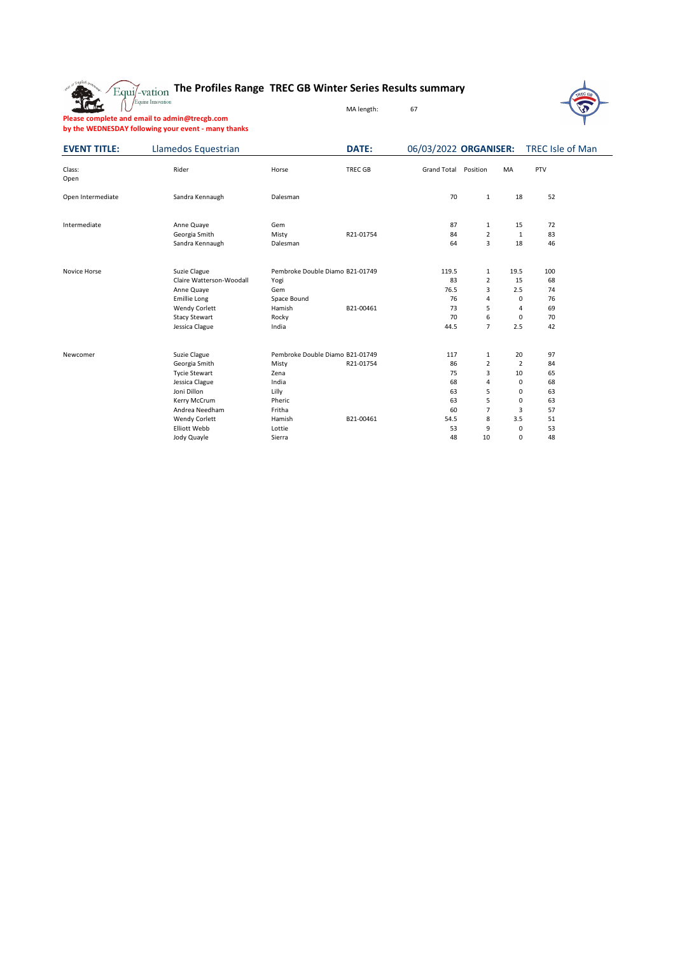



**Please complete and email to admin@trecgb.com by the WEDNESDAY following your event - many thanks**

The

| <b>EVENT TITLE:</b> | Llamedos Equestrian              |                                 | DATE:          | 06/03/2022 ORGANISER: |                     |                | TREC Isle of Man |  |
|---------------------|----------------------------------|---------------------------------|----------------|-----------------------|---------------------|----------------|------------------|--|
| Class:<br>Open      | Rider                            | Horse                           | <b>TREC GB</b> | <b>Grand Total</b>    | Position            | MA             | PTV              |  |
| Open Intermediate   | Sandra Kennaugh                  | Dalesman                        |                | 70                    | 1                   | 18             | 52               |  |
| Intermediate        | Anne Quaye                       | Gem                             |                | 87                    | $\mathbf{1}$        | 15             | 72               |  |
|                     | Georgia Smith<br>Sandra Kennaugh | Misty<br>Dalesman               | R21-01754      | 84<br>64              | $\overline{2}$<br>3 | 1<br>18        | 83<br>46         |  |
| Novice Horse        | Suzie Clague                     | Pembroke Double Diamo B21-01749 |                | 119.5                 | $\mathbf{1}$        | 19.5           | 100              |  |
|                     | Claire Watterson-Woodall         | Yogi                            |                | 83                    | $\overline{2}$      | 15             | 68               |  |
|                     | Anne Quaye                       | Gem                             |                | 76.5                  | 3                   | 2.5            | 74               |  |
|                     | <b>Emillie Long</b>              | Space Bound                     |                | 76                    | $\overline{4}$      | 0              | 76               |  |
|                     | <b>Wendy Corlett</b>             | Hamish                          | B21-00461      | 73                    | 5                   | 4              | 69               |  |
|                     | <b>Stacy Stewart</b>             | Rocky                           |                | 70                    | 6                   | 0              | 70               |  |
|                     | Jessica Clague                   | India                           |                | 44.5                  | $\overline{7}$      | 2.5            | 42               |  |
| Newcomer            | Suzie Clague                     | Pembroke Double Diamo B21-01749 |                | 117                   | $\mathbf{1}$        | 20             | 97               |  |
|                     | Georgia Smith                    | Misty                           | R21-01754      | 86                    | $\overline{2}$      | $\overline{2}$ | 84               |  |
|                     | <b>Tycie Stewart</b>             | Zena                            |                | 75                    | 3                   | 10             | 65               |  |
|                     | Jessica Clague                   | India                           |                | 68                    | $\overline{4}$      | 0              | 68               |  |
|                     | Joni Dillon                      | Lilly                           |                | 63                    | 5                   | 0              | 63               |  |
|                     | Kerry McCrum                     | Pheric                          |                | 63                    | 5                   | 0              | 63               |  |
|                     | Andrea Needham                   | Fritha                          |                | 60                    | 7                   | 3              | 57               |  |
|                     | <b>Wendy Corlett</b>             | Hamish                          | B21-00461      | 54.5                  | 8                   | 3.5            | 51               |  |
|                     | <b>Elliott Webb</b>              | Lottie                          |                | 53                    | 9                   | 0              | 53               |  |
|                     | Jody Quayle                      | Sierra                          |                | 48                    | 10                  | 0              | 48               |  |

MA length: 67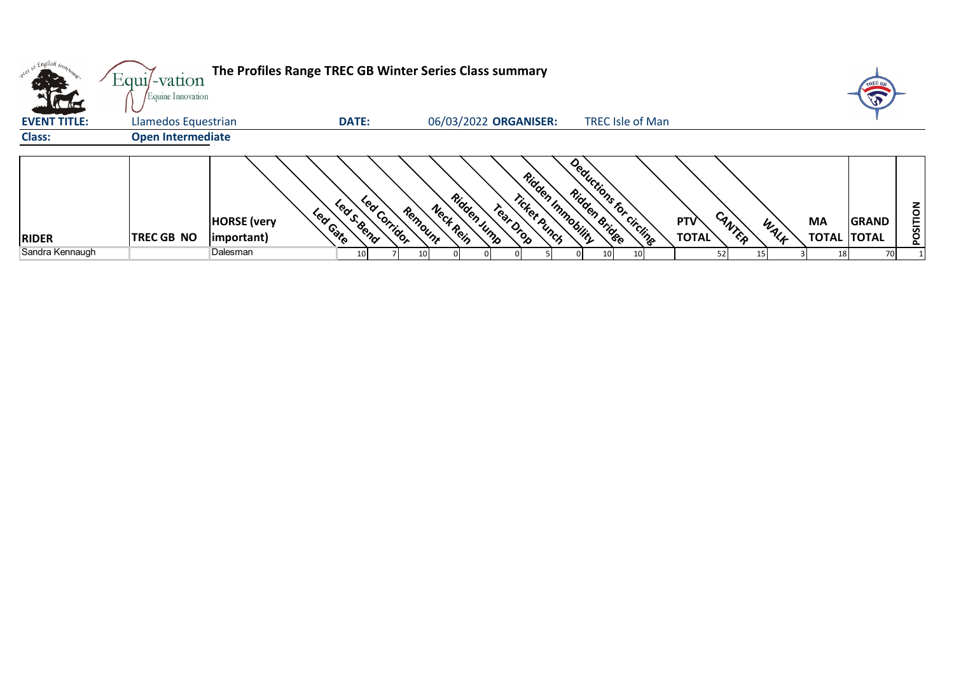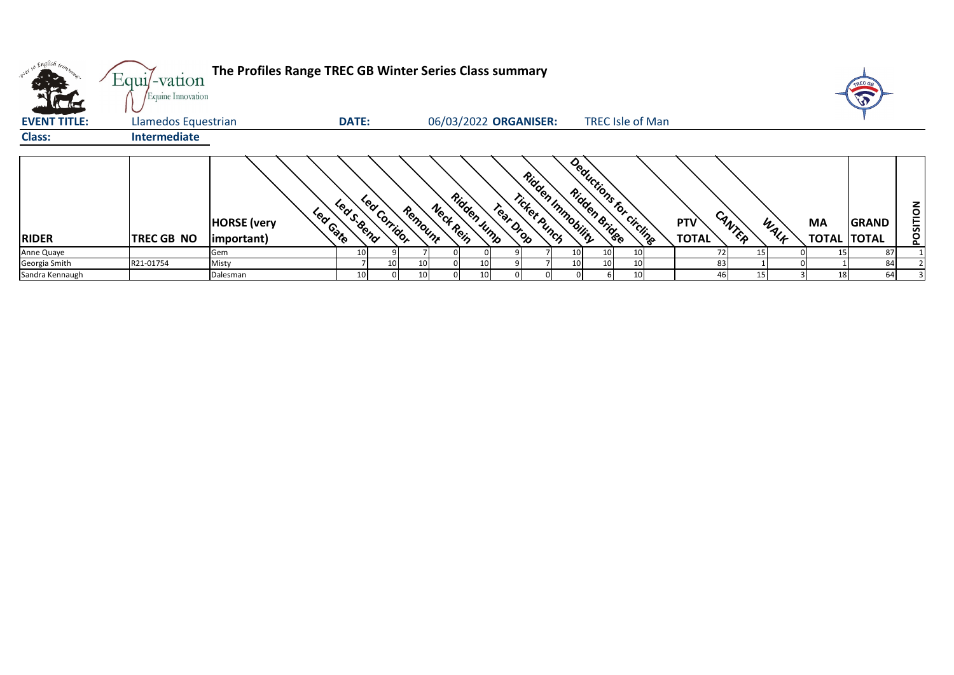| <b>AC ALC</b>       | Equi/-vation<br>Equine Innovation | The Profiles Range TREC GB Winter Series Class summary |                              |          |                          |                                                |                         |    |                     |          |      |    | A                                  |          |
|---------------------|-----------------------------------|--------------------------------------------------------|------------------------------|----------|--------------------------|------------------------------------------------|-------------------------|----|---------------------|----------|------|----|------------------------------------|----------|
| <b>EVENT TITLE:</b> | Llamedos Equestrian               |                                                        | <b>DATE:</b>                 |          | 06/03/2022 ORGANISER:    |                                                | <b>TREC Isle of Man</b> |    |                     |          |      |    |                                    |          |
| <b>Class:</b>       | Intermediate                      |                                                        |                              |          |                          |                                                |                         |    |                     |          |      |    |                                    |          |
| <b>RIDER</b>        | <b>TREC GB NO</b>                 | Lear Gate<br><b>HORSE</b> (very<br>important)          | Lear Corridor<br>Lea S. Bend | Remount  | Ridden Jump<br>Neck Rein | Ridden Immobility<br>Ticket Punch<br>Tear Drop | Deductions for circling |    | PTV<br><b>TOTAL</b> | CANTER   | WALK | МA | <b>GRAND</b><br><b>TOTAL TOTAL</b> | POSITION |
| Anne Quaye          |                                   | Gem                                                    | 10                           |          |                          |                                                | 10 <sub>1</sub>         | 10 |                     | 72<br>15 |      |    | 87                                 |          |
| Georgia Smith       | R21-01754                         | Misty                                                  |                              | 10<br>10 | 10                       |                                                | 10                      | 10 |                     | 83       |      |    | 84                                 |          |
| Sandra Kennaugh     |                                   | Dalesman                                               | 10                           | 10       | 10                       |                                                |                         | 10 |                     | 15       |      |    | 64                                 |          |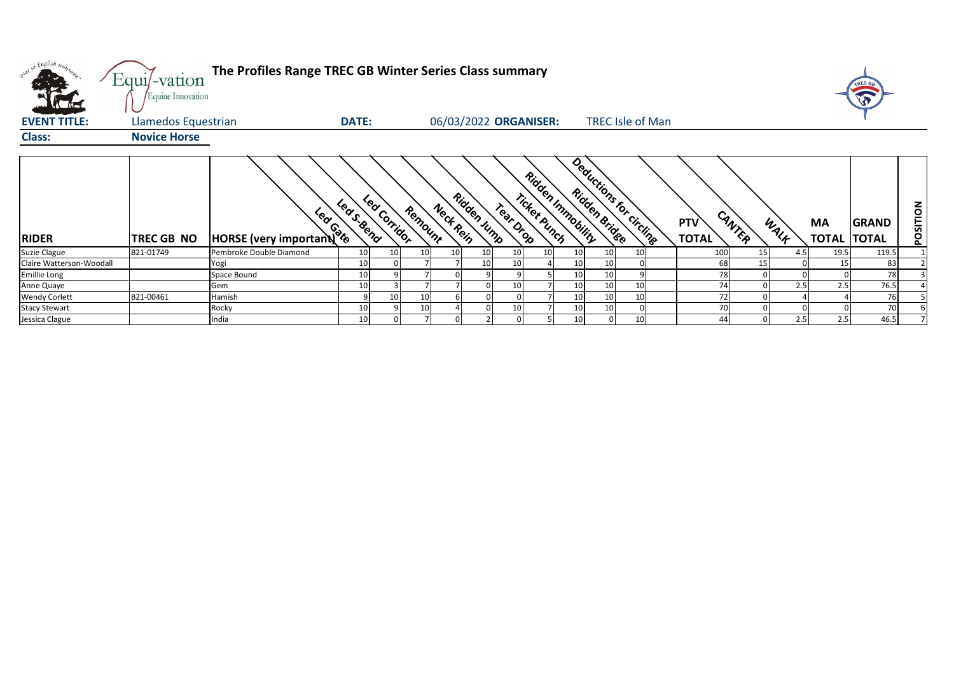| w <sup>ed 50</sup> English trong   | Equi/-vation<br>Equine Innovation | The Profiles Range TREC GB Winter Series Class summary |                           |         |                       |             |                 |              |                   |                                   |                            |                 |     |                    | TREC GA<br><b>S</b>          |          |
|------------------------------------|-----------------------------------|--------------------------------------------------------|---------------------------|---------|-----------------------|-------------|-----------------|--------------|-------------------|-----------------------------------|----------------------------|-----------------|-----|--------------------|------------------------------|----------|
| <b>EVENT TITLE:</b>                | Llamedos Equestrian               |                                                        | <b>DATE:</b>              |         | 06/03/2022 ORGANISER: |             |                 |              |                   | <b>TREC Isle of Man</b>           |                            |                 |     |                    |                              |          |
| <b>Class:</b>                      | <b>Novice Horse</b>               |                                                        |                           |         |                       |             |                 |              |                   |                                   |                            |                 |     |                    |                              |          |
| <b>RIDER</b>                       | TREC GB NO                        | HORSE (very important)                                 | Lea Corridor<br>Leas Bend | Remount | Neck Rein             | Ridden Jump | Treat Drop      | Ticket Punch | Ridden Inmobility | Deductions for circlings          | <b>PTV</b><br><b>TOTAL</b> | CANTER<br>WALK  |     | MA<br><b>TOTAL</b> | <b>GRAND</b><br><b>TOTAL</b> | POSITION |
| Suzie Clague                       | B21-01749                         | Pembroke Double Diamond                                | 10<br>10                  | 10      | 10 <sub>1</sub>       | 10          | 10 <sup>1</sup> | 10           | 10                | 10<br>10 <sup>1</sup>             | 100                        | 15 <sup>1</sup> | 4.5 | 19.5               | 119.5                        |          |
| Claire Watterson-Woodall           |                                   | Yogi                                                   | 10                        |         |                       |             | 10              |              | 10                | 10                                | 68                         | 15              |     | 15                 | 83                           |          |
| Emillie Long                       |                                   | Space Bound                                            | 10                        |         |                       |             |                 |              | 10                | 10<br>9                           | 78<br>74                   |                 |     | 2.5                | 78<br>76.5                   |          |
| Anne Quaye<br><b>Wendy Corlett</b> | B21-00461                         | Gem<br>Hamish                                          | 10<br>10                  | 10      |                       |             | 10 <sub>1</sub> |              | 10<br>10          | 10<br>10<br>10 <sup>1</sup><br>10 | 72                         |                 | 2.5 |                    | 76                           |          |
| <b>Stacy Stewart</b>               |                                   | Rocky                                                  | 10                        | 10      |                       |             | 10              |              | 10                | 10                                | 70                         |                 |     |                    | 70                           |          |
| Jessica Clague                     |                                   | India                                                  | 10                        |         |                       |             |                 |              | 10                | 10 <sup>1</sup>                   | 44                         |                 | 2.5 | 2.5                | 46.5                         |          |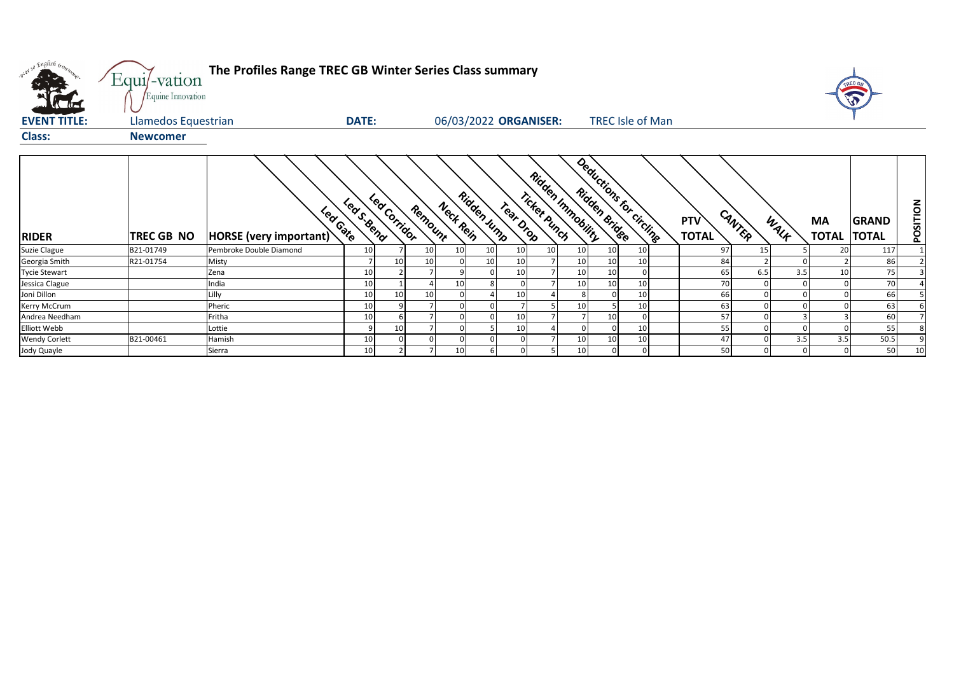| what so English bronze. | Equi/-vation<br>Equine Innovation | The Profiles Range TREC GB Winter Series Class summary |                 |              |         |                 |                 |           |                                   |                 |                |                         |                            |        |      |                    |                              |          |
|-------------------------|-----------------------------------|--------------------------------------------------------|-----------------|--------------|---------|-----------------|-----------------|-----------|-----------------------------------|-----------------|----------------|-------------------------|----------------------------|--------|------|--------------------|------------------------------|----------|
| <b>EVENT TITLE:</b>     | Llamedos Equestrian               |                                                        | <b>DATE:</b>    |              |         |                 |                 |           | 06/03/2022 ORGANISER:             |                 |                | <b>TREC Isle of Man</b> |                            |        |      |                    |                              |          |
| <b>Class:</b>           | <b>Newcomer</b>                   |                                                        |                 |              |         |                 |                 |           |                                   |                 |                |                         |                            |        |      |                    |                              |          |
| <b>RIDER</b>            | <b>TREC GB NO</b>                 | Lear Gate<br><b>HORSE</b> (very important)             | Leas. Bend      | Led Corridor | Remount | Neck Rein       | Ridden Jump     | Tear Drop | Ridden Inmobility<br>Ticket punch |                 | Ridden Bridge  | Deductions for circline | <b>PTV</b><br><b>TOTAL</b> | CANTER | WALK | MA<br><b>TOTAL</b> | <b>GRAND</b><br><b>TOTAL</b> | POSITION |
| Suzie Clague            | B21-01749                         | Pembroke Double Diamond                                | 10              |              | 10      | 10 <sup>1</sup> | 10 <sup>1</sup> | 10        | 10                                | 10              | 10             | 10 <sup>1</sup>         | 97                         |        | 15   | 20                 | 117                          |          |
| Georgia Smith           | R21-01754                         | Misty                                                  |                 |              |         |                 | 10 <sup>1</sup> | 10        |                                   | 10              | 10             | 10                      | 84                         |        |      |                    | 86                           |          |
| <b>Tycie Stewart</b>    |                                   | Zena                                                   | 10              |              |         |                 |                 | 10        |                                   | 10              | 10             | $\Omega$                | 65                         | 6.5    | 3.5  | 10                 | 75                           |          |
| Jessica Clague          |                                   | India                                                  | 10              |              |         | 10              |                 |           |                                   | 10              | 10             | 10                      | 70                         |        |      |                    | 70                           |          |
| Joni Dillon             |                                   | Lilly                                                  | 10              | 10           | 10      |                 |                 | 10        |                                   |                 | $\Omega$       | 10                      | 66                         |        |      |                    | 66                           |          |
| Kerry McCrum            |                                   | Pheric                                                 | 10              |              |         |                 |                 |           |                                   | 10              |                | 10                      | 63                         |        |      |                    | 63                           |          |
| Andrea Needham          |                                   | Fritha                                                 | 10              |              |         |                 |                 | 10        |                                   |                 | 10             |                         | 57                         |        |      |                    | 60                           |          |
| Elliott Webb            |                                   | Lottie                                                 |                 | 10           |         |                 |                 | 10        |                                   |                 |                | 10                      | 55                         |        |      |                    | 55                           |          |
| <b>Wendy Corlett</b>    | B21-00461                         | Hamish                                                 | 10              |              |         |                 |                 |           |                                   | 10              | 10             | 10                      | 47                         |        | 3.5  | 3.5                | 50.5                         |          |
| Jody Quayle             |                                   | Sierra                                                 | 10 <sup>1</sup> |              |         | 10 <sup>1</sup> | 6               |           |                                   | 10 <sup>°</sup> | $\overline{0}$ | $\mathbf 0$             | 50                         |        | 0    |                    | 50                           | 10       |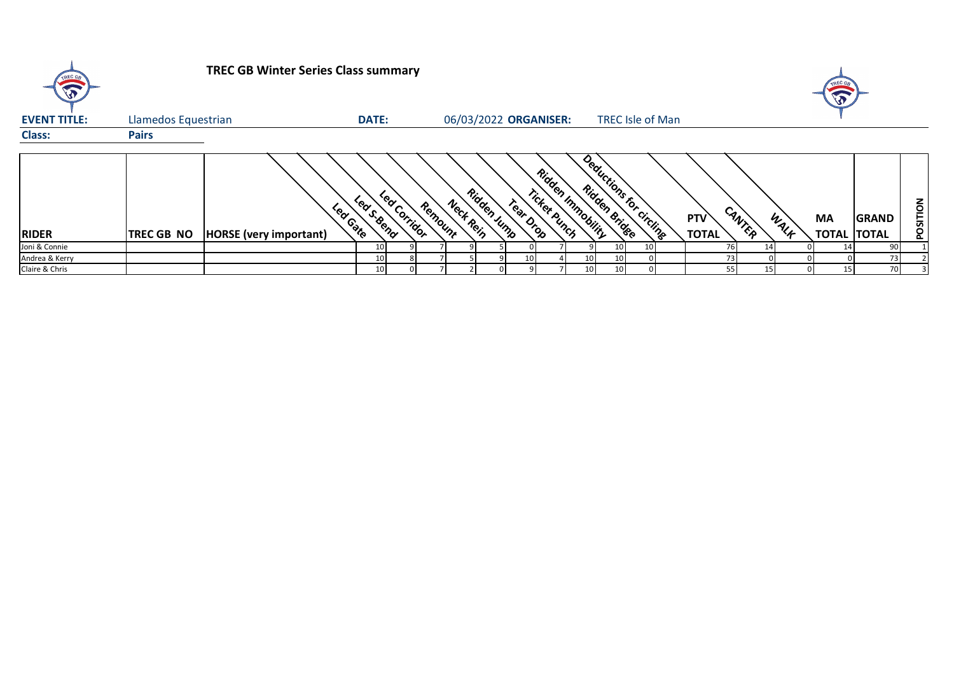| TREC GB             |                     | <b>TREC GB Winter Series Class summary</b> |                         |              |         |                       |             |           |              |                   |                                          |                         |                     |        |      |                          |              |                 |
|---------------------|---------------------|--------------------------------------------|-------------------------|--------------|---------|-----------------------|-------------|-----------|--------------|-------------------|------------------------------------------|-------------------------|---------------------|--------|------|--------------------------|--------------|-----------------|
| <b>EVENT TITLE:</b> | Llamedos Equestrian |                                            | <b>DATE:</b>            |              |         | 06/03/2022 ORGANISER: |             |           |              |                   |                                          | <b>TREC Isle of Man</b> |                     |        |      |                          |              |                 |
| <b>Class:</b>       | <b>Pairs</b>        |                                            |                         |              |         |                       |             |           |              |                   |                                          |                         |                     |        |      |                          |              |                 |
| <b>RIDER</b>        | <b>TREC GB NO</b>   | <b>HORSE</b> (very important)              | Leas Seena<br>Lear Gate | Lea Corridor | Remount | Neck Rein             | Ridden Jump | Tear Drop | Ticket Punch | Ridden Inmobility | Deductions for circline<br>Ridden Bridge |                         | PTV<br><b>TOTAL</b> | CANTER | WALK | МA<br><b>TOTAL TOTAL</b> | <b>GRAND</b> | <b>POSITION</b> |
| Joni & Connie       |                     |                                            | 10                      |              |         |                       |             |           |              |                   | 10                                       |                         |                     | 76     |      |                          | 90           |                 |
| Andrea & Kerry      |                     |                                            | 10                      |              |         |                       |             |           |              | 10                |                                          |                         |                     | 73     |      |                          | 73           |                 |
| Claire & Chris      |                     |                                            | 10                      |              |         |                       |             |           |              | 10 <sub>1</sub>   |                                          |                         |                     | 55     | 15   | 15                       | 70           |                 |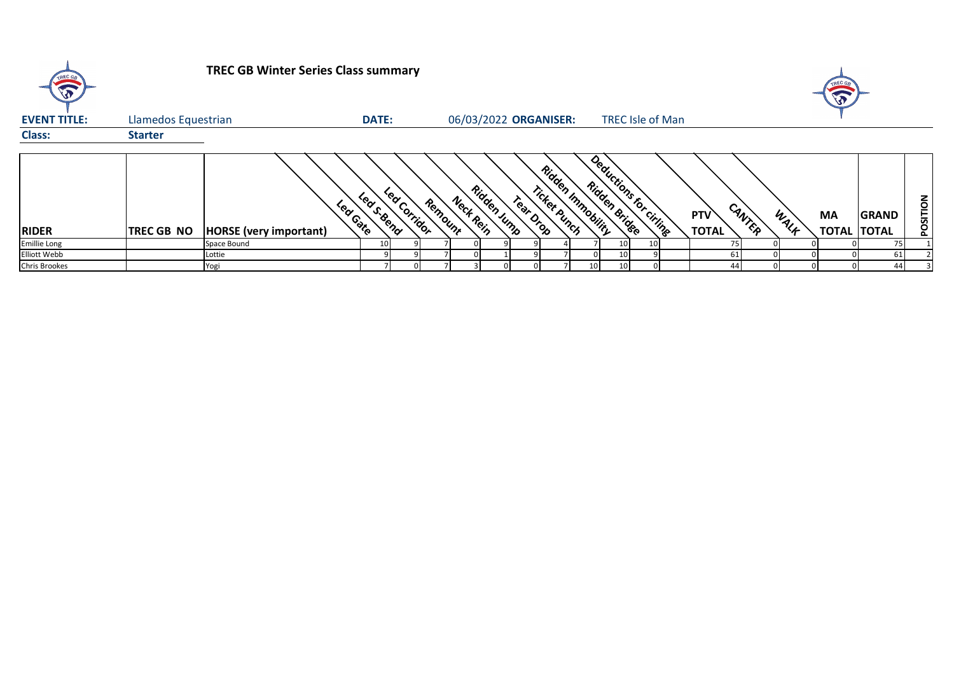| TREC GR              |                     | <b>TREC GB Winter Series Class summary</b> |                            |         |           |                       |                           |                          |               |                         |                               |      |                          |              |          |
|----------------------|---------------------|--------------------------------------------|----------------------------|---------|-----------|-----------------------|---------------------------|--------------------------|---------------|-------------------------|-------------------------------|------|--------------------------|--------------|----------|
| <b>EVENT TITLE:</b>  | Llamedos Equestrian |                                            | <b>DATE:</b>               |         |           | 06/03/2022 ORGANISER: |                           |                          |               | <b>TREC Isle of Man</b> |                               |      |                          |              |          |
| <b>Class:</b>        | <b>Starter</b>      |                                            |                            |         |           |                       |                           |                          |               |                         |                               |      |                          |              |          |
| <b>RIDER</b>         | <b>TREC GB NO</b>   | Lear Gate<br><b>HORSE</b> (very important) | Led Corridor<br>Lears Bend | Remount | Neck Rein | Ridden Jump           | Ticket Punch<br>Tear Drop | <b>Ridden Immobility</b> | Ridden Bridge | Deductions for citing   | CANTER<br>PTV<br><b>TOTAL</b> | WALK | MA<br><b>TOTAL TOTAL</b> | <b>GRAND</b> | POSITION |
| <b>Emillie Long</b>  |                     | Space Bound                                |                            |         |           |                       |                           |                          | 10            |                         |                               |      |                          | 75           |          |
| Elliott Webb         |                     | Lottie                                     |                            |         |           |                       |                           |                          | 10            |                         | 61                            |      |                          | 61           |          |
| <b>Chris Brookes</b> |                     | Yogi                                       |                            |         |           |                       |                           |                          | 10<br>10      |                         | ΔΔ                            |      |                          | 44           |          |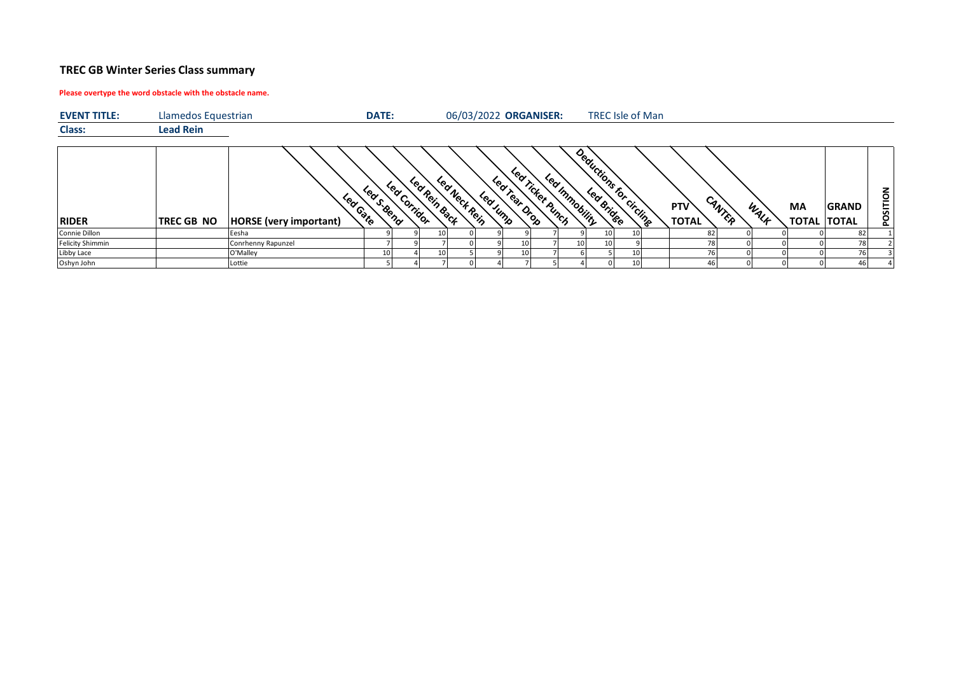## **TREC GB Winter Series Class summary**

## **Please overtype the word obstacle with the obstacle name.**

| <b>EVENT TITLE:</b>     | Llamedos Equestrian |                                         | DATE:     |              |               |               |          |                | 06/03/2022 ORGANISER: |                 |    |    | <b>TREC Isle of Man</b> |                     |        |      |                    |                              |          |
|-------------------------|---------------------|-----------------------------------------|-----------|--------------|---------------|---------------|----------|----------------|-----------------------|-----------------|----|----|-------------------------|---------------------|--------|------|--------------------|------------------------------|----------|
| <b>Class:</b>           | <b>Lead Rein</b>    |                                         |           |              |               |               |          |                |                       |                 |    |    |                         |                     |        |      |                    |                              |          |
| <b>RIDER</b>            | <b>TREC GB NO</b>   | Leader<br><b>HORSE</b> (very important) | Leas Bena | Led Corridor | Led Rein Back | Led Neck Rein | Led Jump | Leat Pear Orop | Lea Ticket Punch      | Led Immobility  |    |    | Deductions for circling | PTV<br><b>TOTAL</b> | CANTER | WALF | MA<br><b>TOTAL</b> | <b>GRAND</b><br><b>TOTAL</b> | NOLLISOd |
| Connie Dillon           |                     | Eesha                                   |           |              |               |               |          |                |                       |                 | 10 |    |                         | 82                  |        |      |                    | 82                           |          |
| <b>Felicity Shimmin</b> |                     | Conrhenny Rapunzel                      |           |              |               |               |          | 10 I           |                       | 10 <sup>1</sup> | 10 |    |                         |                     |        |      |                    | 78 I                         |          |
| Libby Lace              |                     | O'Malley                                | 10        |              |               |               |          | 10 I           |                       |                 |    | 10 |                         |                     |        |      |                    | 76                           |          |
| Oshyn John              |                     | Lottie                                  |           |              |               |               |          |                |                       |                 |    | 10 |                         |                     | 46     |      |                    |                              |          |